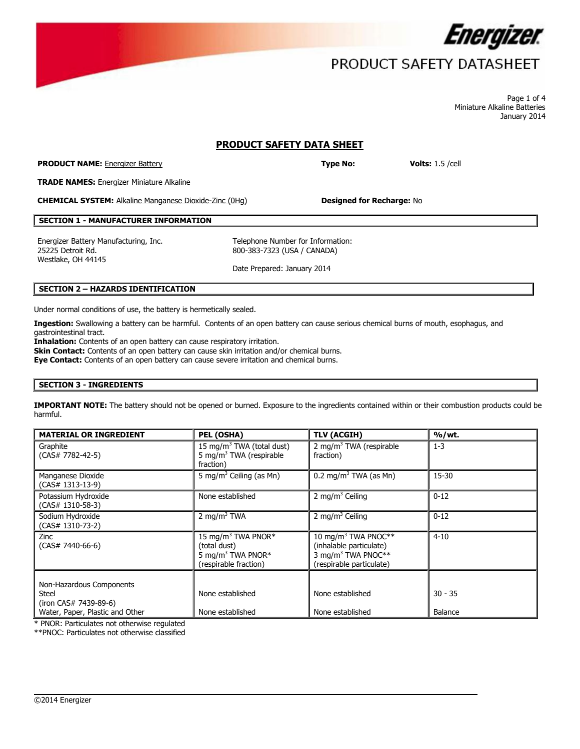

## PRODUCT SAFETY DATASHEET

Page 1 of 4 Miniature Alkaline Batteries January 2014

## **PRODUCT SAFETY DATA SHEET**

**PRODUCT NAME:** Energizer Battery **Type No: Volts:** 1.5 /cell

**TRADE NAMES:** Energizer Miniature Alkaline

**CHEMICAL SYSTEM:** Alkaline Manganese Dioxide-Zinc (0Hg) **Designed for Recharge:** No

### **SECTION 1 - MANUFACTURER INFORMATION**

Energizer Battery Manufacturing, Inc. The Telephone Number for Information: 25225 Detroit Rd. Westlake, OH 44145

800-383-7323 (USA / CANADA)

Date Prepared: January 2014

#### **SECTION 2 – HAZARDS IDENTIFICATION**

Under normal conditions of use, the battery is hermetically sealed.

**Ingestion:** Swallowing a battery can be harmful. Contents of an open battery can cause serious chemical burns of mouth, esophagus, and gastrointestinal tract.

**Inhalation:** Contents of an open battery can cause respiratory irritation.

**Skin Contact:** Contents of an open battery can cause skin irritation and/or chemical burns.

**Eye Contact:** Contents of an open battery can cause severe irritation and chemical burns.

## **SECTION 3 - INGREDIENTS**

**IMPORTANT NOTE:** The battery should not be opened or burned. Exposure to the ingredients contained within or their combustion products could be harmful.

| 15 mg/m <sup>3</sup> TWA (total dust)<br>5 mg/m <sup>3</sup> TWA (respirable<br>fraction)                | 2 mg/m <sup>3</sup> TWA (respirable<br>fraction)                                                                         | $1 - 3$              |
|----------------------------------------------------------------------------------------------------------|--------------------------------------------------------------------------------------------------------------------------|----------------------|
|                                                                                                          |                                                                                                                          |                      |
| 5 mg/m <sup>3</sup> Ceiling (as Mn)                                                                      | 0.2 mg/m <sup>3</sup> TWA (as Mn)                                                                                        | 15-30                |
| None established                                                                                         | 2 mg/m <sup>3</sup> Ceiling                                                                                              | $0 - 12$             |
| 2 mg/m <sup>3</sup> TWA                                                                                  | 2 mg/m <sup>3</sup> Ceiling                                                                                              | $0 - 12$             |
| 15 mg/m <sup>3</sup> TWA PNOR*<br>(total dust)<br>5 mg/m <sup>3</sup> TWA PNOR*<br>(respirable fraction) | 10 mg/m <sup>3</sup> TWA PNOC**<br>(inhalable particulate)<br>3 mg/m <sup>3</sup> TWA PNOC**<br>(respirable particulate) | $4 - 10$             |
| None established                                                                                         | None established                                                                                                         | $30 - 35$<br>Balance |
|                                                                                                          | None established                                                                                                         | None established     |

 $\overline{\phantom{a}}$ 

\* PNOR: Particulates not otherwise regulated

\*\*PNOC: Particulates not otherwise classified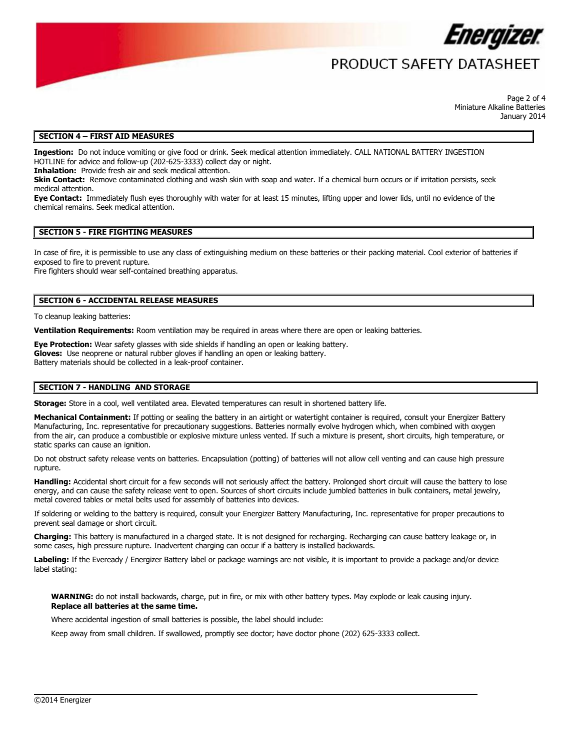

## PRODUCT SAFFTY DATASHFFT

Page 2 of 4 Miniature Alkaline Batteries January 2014

#### **SECTION 4 – FIRST AID MEASURES**

**Ingestion:** Do not induce vomiting or give food or drink. Seek medical attention immediately. CALL NATIONAL BATTERY INGESTION HOTLINE for advice and follow-up (202-625-3333) collect day or night.

**Inhalation:** Provide fresh air and seek medical attention.

**Skin Contact:** Remove contaminated clothing and wash skin with soap and water. If a chemical burn occurs or if irritation persists, seek medical attention.

**Eye Contact:** Immediately flush eyes thoroughly with water for at least 15 minutes, lifting upper and lower lids, until no evidence of the chemical remains. Seek medical attention.

#### **SECTION 5 - FIRE FIGHTING MEASURES**

In case of fire, it is permissible to use any class of extinguishing medium on these batteries or their packing material. Cool exterior of batteries if exposed to fire to prevent rupture.

Fire fighters should wear self-contained breathing apparatus.

#### **SECTION 6 - ACCIDENTAL RELEASE MEASURES**

To cleanup leaking batteries:

**Ventilation Requirements:** Room ventilation may be required in areas where there are open or leaking batteries.

**Eye Protection:** Wear safety glasses with side shields if handling an open or leaking battery. **Gloves:** Use neoprene or natural rubber gloves if handling an open or leaking battery. Battery materials should be collected in a leak-proof container.

#### **SECTION 7 - HANDLING AND STORAGE**

**Storage:** Store in a cool, well ventilated area. Elevated temperatures can result in shortened battery life.

Mechanical Containment: If potting or sealing the battery in an airtight or watertight container is required, consult your Energizer Battery Manufacturing, Inc. representative for precautionary suggestions. Batteries normally evolve hydrogen which, when combined with oxygen from the air, can produce a combustible or explosive mixture unless vented. If such a mixture is present, short circuits, high temperature, or static sparks can cause an ignition.

Do not obstruct safety release vents on batteries. Encapsulation (potting) of batteries will not allow cell venting and can cause high pressure rupture.

**Handling:** Accidental short circuit for a few seconds will not seriously affect the battery. Prolonged short circuit will cause the battery to lose energy, and can cause the safety release vent to open. Sources of short circuits include jumbled batteries in bulk containers, metal jewelry, metal covered tables or metal belts used for assembly of batteries into devices.

If soldering or welding to the battery is required, consult your Energizer Battery Manufacturing, Inc. representative for proper precautions to prevent seal damage or short circuit.

**Charging:** This battery is manufactured in a charged state. It is not designed for recharging. Recharging can cause battery leakage or, in some cases, high pressure rupture. Inadvertent charging can occur if a battery is installed backwards.

**Labeling:** If the Eveready / Energizer Battery label or package warnings are not visible, it is important to provide a package and/or device label stating:

**WARNING:** do not install backwards, charge, put in fire, or mix with other battery types. May explode or leak causing injury. **Replace all batteries at the same time.**

 $\overline{\phantom{a}}$ 

Where accidental ingestion of small batteries is possible, the label should include:

Keep away from small children. If swallowed, promptly see doctor; have doctor phone (202) 625-3333 collect.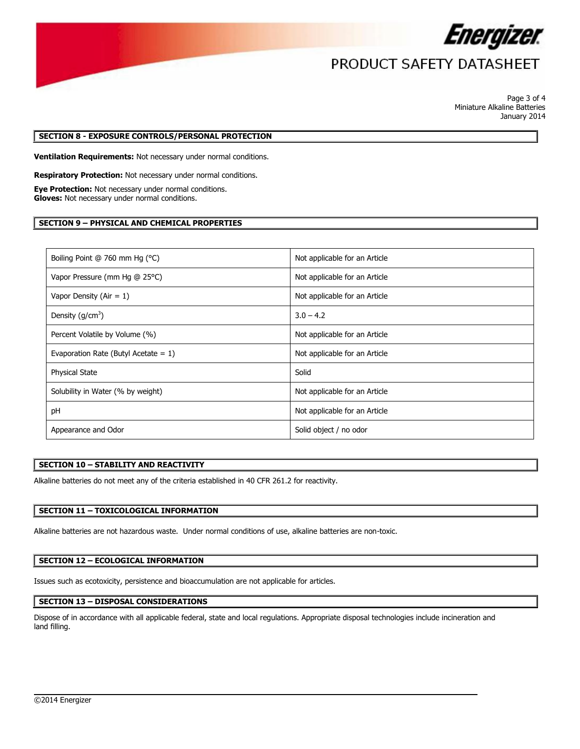

# PRODUCT SAFETY DATASHEET

Page 3 of 4 Miniature Alkaline Batteries January 2014

#### **SECTION 8 - EXPOSURE CONTROLS/PERSONAL PROTECTION**

**Ventilation Requirements:** Not necessary under normal conditions.

**Respiratory Protection:** Not necessary under normal conditions.

**Eye Protection:** Not necessary under normal conditions. **Gloves:** Not necessary under normal conditions.

### **SECTION 9 – PHYSICAL AND CHEMICAL PROPERTIES**

| Boiling Point @ 760 mm Hg (°C)          | Not applicable for an Article |
|-----------------------------------------|-------------------------------|
| Vapor Pressure (mm Hg @ 25°C)           | Not applicable for an Article |
| Vapor Density (Air = $1$ )              | Not applicable for an Article |
| Density $(g/cm3)$                       | $3.0 - 4.2$                   |
| Percent Volatile by Volume (%)          | Not applicable for an Article |
| Evaporation Rate (Butyl Acetate $= 1$ ) | Not applicable for an Article |
| <b>Physical State</b>                   | Solid                         |
| Solubility in Water (% by weight)       | Not applicable for an Article |
| pH                                      | Not applicable for an Article |
| Appearance and Odor                     | Solid object / no odor        |

#### **SECTION 10 – STABILITY AND REACTIVITY**

Alkaline batteries do not meet any of the criteria established in 40 CFR 261.2 for reactivity.

## **SECTION 11 – TOXICOLOGICAL INFORMATION**

Alkaline batteries are not hazardous waste. Under normal conditions of use, alkaline batteries are non-toxic.

### **SECTION 12 – ECOLOGICAL INFORMATION**

Issues such as ecotoxicity, persistence and bioaccumulation are not applicable for articles.

#### **SECTION 13 – DISPOSAL CONSIDERATIONS**

Dispose of in accordance with all applicable federal, state and local regulations. Appropriate disposal technologies include incineration and land filling.

 $\overline{\phantom{a}}$